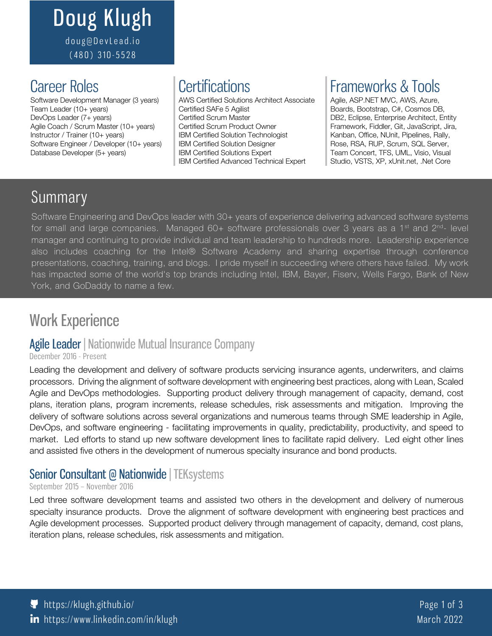## Doug Klugh doug@DevLead.io (480) 310 - 5528

Team Leader (10+ years) Certified SAFe 5 Agilist DevOps Leader (7+ years) Certified Scrum Master Agile Coach / Scrum Master (10+ years) Certified Scrum Product Owner Instructor / Trainer (10+ years) IBM Certified Solution Technologist Software Engineer / Developer (10+ years) | IBM Certified Solution Designer Database Developer (5+ years) IBM Certified Solutions Expert

Software Development Manager (3 years) AWS Certified Solutions Architect Associate | Agile, ASP.NET MVC, AWS, Azure, IBM Certified Advanced Technical Expert

# Career Roles **Certifications** Frameworks & Tools

Boards, Bootstrap, C#, Cosmos DB, DB2, Eclipse, Enterprise Architect, Entity Framework, Fiddler, Git, JavaScript, Jira, Kanban, Office, NUnit, Pipelines, Rally, Rose, RSA, RUP, Scrum, SQL Server, Team Concert, TFS, UML, Visio, Visual Studio, VSTS, XP, xUnit.net, .Net Core

# Summary

Software Engineering and DevOps leader with 30+ years of experience delivering advanced software systems for small and large companies. Managed  $60+$  software professionals over 3 years as a 1<sup>st</sup> and 2<sup>nd</sup>- level manager and continuing to provide individual and team leadership to hundreds more. Leadership experience also includes coaching for the Intel® Software Academy and sharing expertise through conference presentations, coaching, training, and blogs. I pride myself in succeeding where others have failed. My work has impacted some of the world's top brands including Intel, IBM, Bayer, Fiserv, Wells Fargo, Bank of New York, and GoDaddy to name a few.

# Work Experience

### Agile Leader | Nationwide Mutual Insurance Company

#### December 2016 - Present

Leading the development and delivery of software products servicing insurance agents, underwriters, and claims processors. Driving the alignment of software development with engineering best practices, along with Lean, Scaled Agile and DevOps methodologies. Supporting product delivery through management of capacity, demand, cost plans, iteration plans, program increments, release schedules, risk assessments and mitigation. Improving the delivery of software solutions across several organizations and numerous teams through SME leadership in Agile, DevOps, and software engineering - facilitating improvements in quality, predictability, productivity, and speed to market. Led efforts to stand up new software development lines to facilitate rapid delivery. Led eight other lines and assisted five others in the development of numerous specialty insurance and bond products.

## Senior Consultant @ Nationwide | TEKsystems

#### September 2015 – November 2016

Led three software development teams and assisted two others in the development and delivery of numerous specialty insurance products. Drove the alignment of software development with engineering best practices and Agile development processes. Supported product delivery through management of capacity, demand, cost plans, iteration plans, release schedules, risk assessments and mitigation.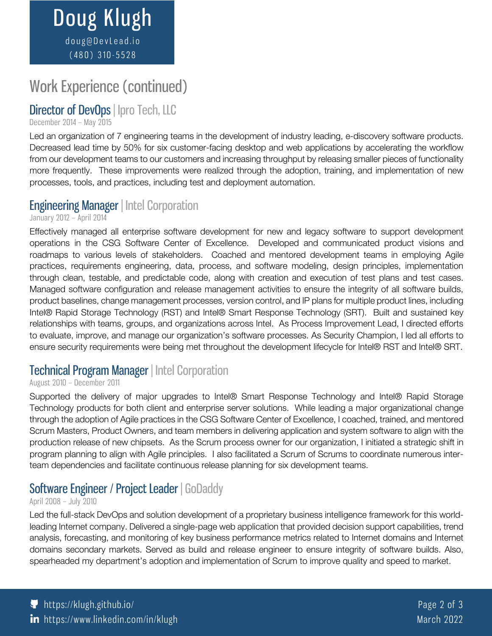# Work Experience (continued)

## Director of DevOps | Ipro Tech, LLC

#### December 2014 – May 2015

Led an organization of 7 engineering teams in the development of industry leading, e-discovery software products. Decreased lead time by 50% for six customer-facing desktop and web applications by accelerating the workflow from our development teams to our customers and increasing throughput by releasing smaller pieces of functionality more frequently. These improvements were realized through the adoption, training, and implementation of new processes, tools, and practices, including test and deployment automation.

## Engineering Manager | Intel Corporation

January 2012 – April 2014

Effectively managed all enterprise software development for new and legacy software to support development operations in the CSG Software Center of Excellence. Developed and communicated product visions and roadmaps to various levels of stakeholders. Coached and mentored development teams in employing Agile practices, requirements engineering, data, process, and software modeling, design principles, implementation through clean, testable, and predictable code, along with creation and execution of test plans and test cases. Managed software configuration and release management activities to ensure the integrity of all software builds, product baselines, change management processes, version control, and IP plans for multiple product lines, including Intel® Rapid Storage Technology (RST) and Intel® Smart Response Technology (SRT). Built and sustained key relationships with teams, groups, and organizations across Intel. As Process Improvement Lead, I directed efforts to evaluate, improve, and manage our organization's software processes. As Security Champion, I led all efforts to ensure security requirements were being met throughout the development lifecycle for Intel® RST and Intel® SRT.

## Technical Program Manager | Intel Corporation

### August 2010 – December 2011

Supported the delivery of major upgrades to Intel® Smart Response Technology and Intel® Rapid Storage Technology products for both client and enterprise server solutions. While leading a major organizational change through the adoption of Agile practices in the CSG Software Center of Excellence, I coached, trained, and mentored Scrum Masters, Product Owners, and team members in delivering application and system software to align with the production release of new chipsets. As the Scrum process owner for our organization, I initiated a strategic shift in program planning to align with Agile principles. I also facilitated a Scrum of Scrums to coordinate numerous interteam dependencies and facilitate continuous release planning for six development teams.

## Software Engineer / Project Leader | GoDaddy

### April 2008 – July 2010

Led the full-stack DevOps and solution development of a proprietary business intelligence framework for this worldleading Internet company. Delivered a single-page web application that provided decision support capabilities, trend analysis, forecasting, and monitoring of key business performance metrics related to Internet domains and Internet domains secondary markets. Served as build and release engineer to ensure integrity of software builds. Also, spearheaded my department's adoption and implementation of Scrum to improve quality and speed to market.